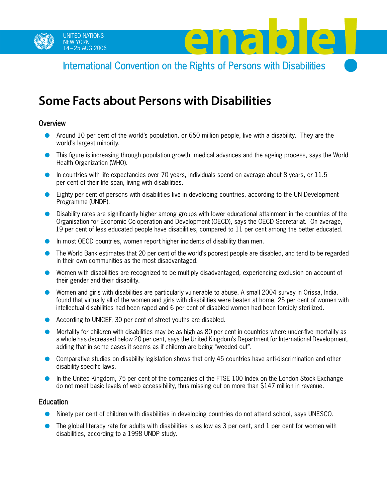

UNITED NATIONS<br>NEW YORK<br>International Convention on the Bights of Persons with Disabilities International Convention on the Rights of Persons with Disabilities

# **Some Facts about Persons with Disabilities**

### **Overview**

- Around 10 per cent of the world's population, or 650 million people, live with a disability. They are the world's largest minority.
- This figure is increasing through population growth, medical advances and the ageing process, says the World Health Organization (WHO).
- In countries with life expectancies over 70 years, individuals spend on average about 8 years, or 11.5 per cent of their life span, living with disabilities.
- Eighty per cent of persons with disabilities live in developing countries, according to the UN Development Programme (UNDP).
- Disability rates are significantly higher among groups with lower educational attainment in the countries of the Organisation for Economic Co-operation and Development (OECD), says the OECD Secretariat. On average, 19 per cent of less educated people have disabilities, compared to 11 per cent among the better educated.
- In most OECD countries, women report higher incidents of disability than men.
- The World Bank estimates that 20 per cent of the world's poorest people are disabled, and tend to be regarded in their own communities as the most disadvantaged.
- Women with disabilities are recognized to be multiply disadvantaged, experiencing exclusion on account of their gender and their disability.
- Women and girls with disabilities are particularly vulnerable to abuse. A small 2004 survey in Orissa, India, found that virtually all of the women and girls with disabilities were beaten at home, 25 per cent of women with intellectual disabilities had been raped and 6 per cent of disabled women had been forcibly sterilized.
- According to UNICEF, 30 per cent of street youths are disabled.
- Mortality for children with disabilities may be as high as 80 per cent in countries where under-five mortality as a whole has decreased below 20 per cent, says the United Kingdom's Department for International Development, adding that in some cases it seems as if children are being "weeded out".
- Comparative studies on disability legislation shows that only 45 countries have anti-discrimination and other disability-specific laws.
- In the United Kingdom, 75 per cent of the companies of the FTSE 100 Index on the London Stock Exchange do not meet basic levels of web accessibility, thus missing out on more than \$147 million in revenue.

## Education

- Ninety per cent of children with disabilities in developing countries do not attend school, says UNESCO.
- The global literacy rate for adults with disabilities is as low as 3 per cent, and 1 per cent for women with disabilities, according to a 1998 UNDP study.